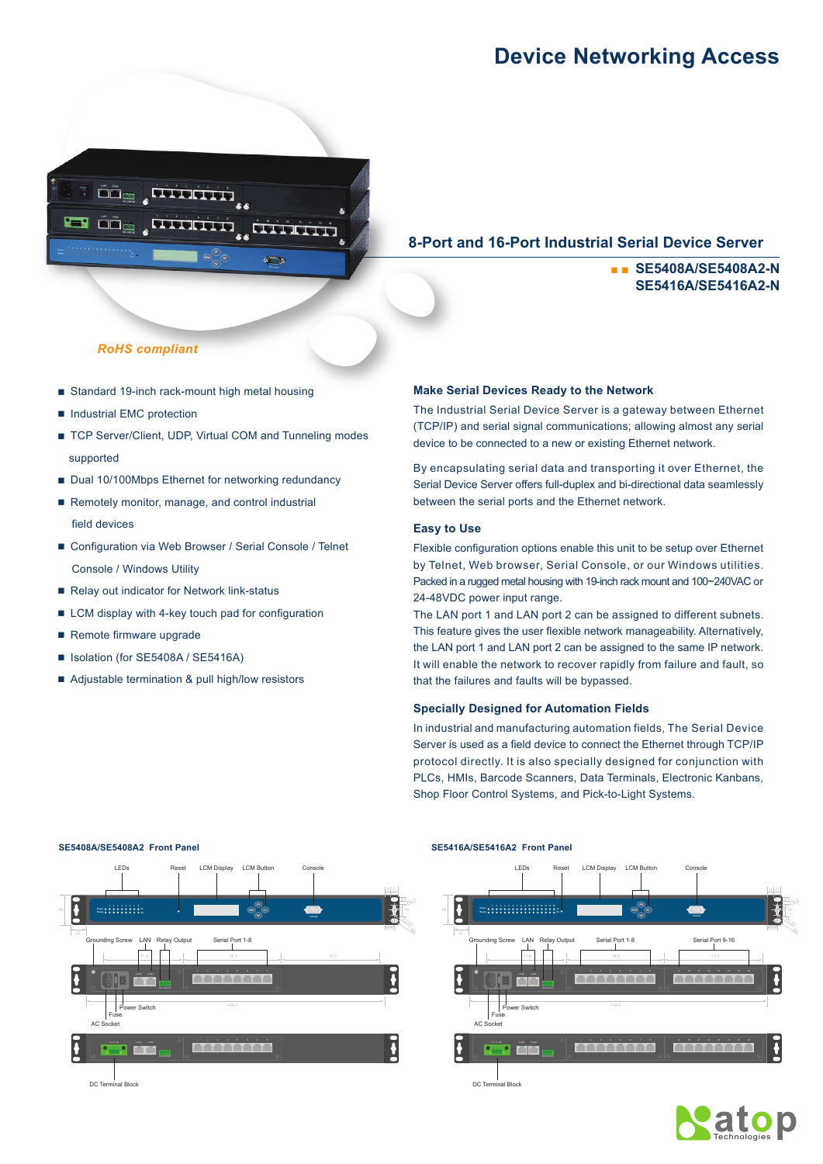# **Device Networking Access**



### **8-Port and 16-Port Industrial Serial Device Server**

## ■ ■ **SE5408A/SE5408A2-N SE5416A/SE5416A2-N**

#### *RoHS compliant*

- Standard 19-inch rack-mount high metal housing
- Industrial EMC protection
- TCP Server/Client, UDP, Virtual COM and Tunneling modes supported
- Dual 10/100Mbps Ethernet for networking redundancy
- Remotely monitor, manage, and control industrial field devices
- Configuration via Web Browser / Serial Console / Telnet Console / Windows Utility
- Relay out indicator for Network link-status
- LCM display with 4-key touch pad for configuration
- Remote firmware upgrade
- Isolation (for SE5408A / SE5416A)
- Adjustable termination & pull high/low resistors

#### **Make Serial Devices Ready to the Network**

The Industrial Serial Device Server is a gateway between Ethernet (TCP/IP) and serial signal communications; allowing almost any serial device to be connected to a new or existing Ethernet network.

By encapsulating serial data and transporting it over Ethernet, the Serial Device Server offers full-duplex and bi-directional data seamlessly between the serial ports and the Ethernet network.

#### **Easy to Use**

Flexible configuration options enable this unit to be setup over Ethernet by Telnet, Web browser, Serial Console, or our Windows utilities. Packed in a rugged metal housing with 19-inch rack mount and 100~240VAC or 24-48VDC power input range.

The LAN port 1 and LAN port 2 can be assigned to different subnets. This feature gives the user flexible network manageability. Alternatively, the LAN port 1 and LAN port 2 can be assigned to the same IP network. It will enable the network to recover rapidly from failure and fault, so that the failures and faults will be bypassed.

#### **Specially Designed for Automation Fields**

In industrial and manufacturing automation fields, The Serial Device Server is used as a field device to connect the Ethernet through TCP/IP protocol directly. It is also specially designed for conjunction with PLCs, HMIs, Barcode Scanners, Data Terminals, Electronic Kanbans, Shop Floor Control Systems, and Pick-to-Light Systems.





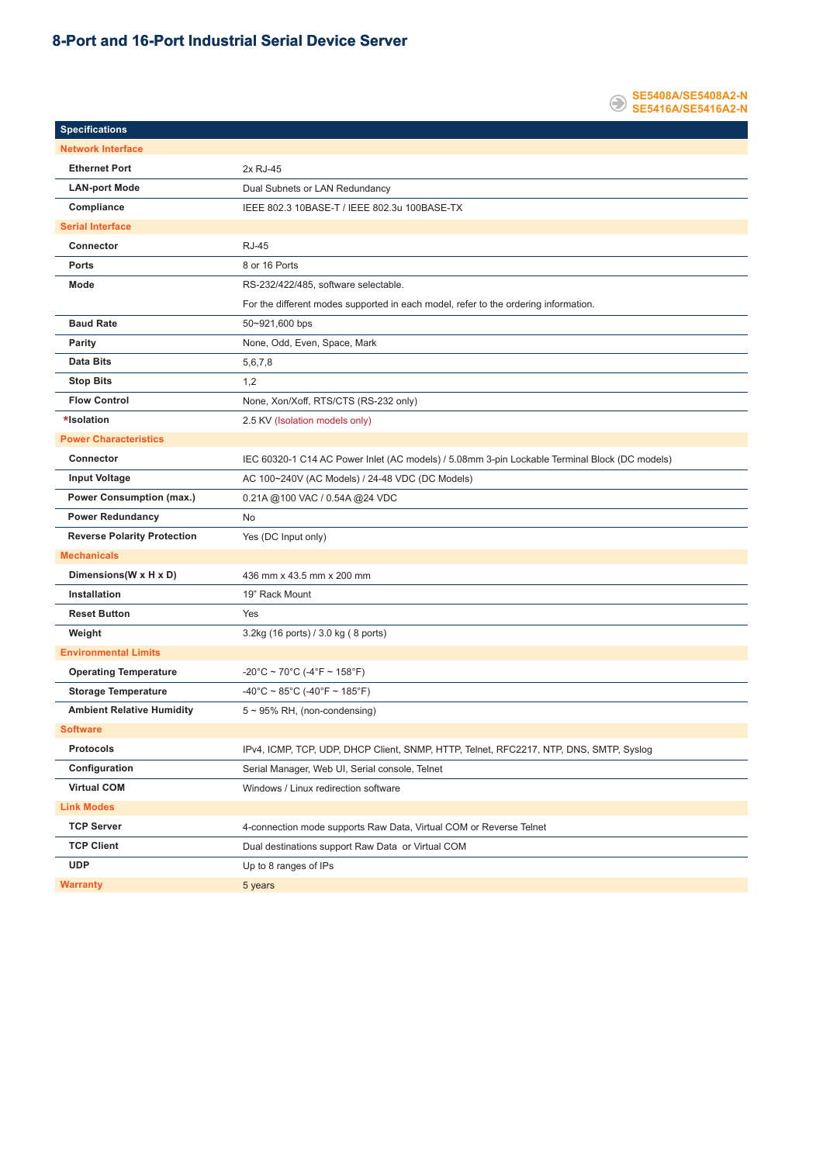### **8-Port and 16-Port Industrial Serial Device Server**



÷,

| <b>Specifications</b>              |                                                                                               |  |  |  |
|------------------------------------|-----------------------------------------------------------------------------------------------|--|--|--|
| <b>Network Interface</b>           |                                                                                               |  |  |  |
| <b>Ethernet Port</b>               | 2x RJ-45                                                                                      |  |  |  |
| <b>LAN-port Mode</b>               | Dual Subnets or LAN Redundancy                                                                |  |  |  |
| Compliance                         | IEEE 802.3 10BASE-T / IEEE 802.3u 100BASE-TX                                                  |  |  |  |
| <b>Serial Interface</b>            |                                                                                               |  |  |  |
| Connector                          | <b>RJ-45</b>                                                                                  |  |  |  |
| <b>Ports</b>                       | 8 or 16 Ports                                                                                 |  |  |  |
| Mode                               | RS-232/422/485, software selectable.                                                          |  |  |  |
|                                    | For the different modes supported in each model, refer to the ordering information.           |  |  |  |
| <b>Baud Rate</b>                   | 50~921,600 bps                                                                                |  |  |  |
| Parity                             | None, Odd, Even, Space, Mark                                                                  |  |  |  |
| <b>Data Bits</b>                   | 5,6,7,8                                                                                       |  |  |  |
| <b>Stop Bits</b>                   | 1,2                                                                                           |  |  |  |
| <b>Flow Control</b>                | None, Xon/Xoff, RTS/CTS (RS-232 only)                                                         |  |  |  |
| *Isolation                         | 2.5 KV (Isolation models only)                                                                |  |  |  |
| <b>Power Characteristics</b>       |                                                                                               |  |  |  |
| Connector                          | IEC 60320-1 C14 AC Power Inlet (AC models) / 5.08mm 3-pin Lockable Terminal Block (DC models) |  |  |  |
| <b>Input Voltage</b>               | AC 100~240V (AC Models) / 24-48 VDC (DC Models)                                               |  |  |  |
| <b>Power Consumption (max.)</b>    | 0.21A @100 VAC / 0.54A @24 VDC                                                                |  |  |  |
|                                    |                                                                                               |  |  |  |
| <b>Power Redundancy</b>            | <b>No</b>                                                                                     |  |  |  |
| <b>Reverse Polarity Protection</b> | Yes (DC Input only)                                                                           |  |  |  |
| <b>Mechanicals</b>                 |                                                                                               |  |  |  |
| Dimensions(W x H x D)              | 436 mm x 43.5 mm x 200 mm                                                                     |  |  |  |
| Installation                       | 19" Rack Mount                                                                                |  |  |  |
| <b>Reset Button</b>                | Yes                                                                                           |  |  |  |
| Weight                             | 3.2kg (16 ports) / 3.0 kg (8 ports)                                                           |  |  |  |
| <b>Environmental Limits</b>        |                                                                                               |  |  |  |
| <b>Operating Temperature</b>       | $-20^{\circ}$ C ~ 70 $^{\circ}$ C (-4 $^{\circ}$ F ~ 158 $^{\circ}$ F)                        |  |  |  |
| <b>Storage Temperature</b>         | $-40^{\circ}$ C ~ 85°C (-40°F ~ 185°F)                                                        |  |  |  |
| <b>Ambient Relative Humidity</b>   | $5 \sim 95\%$ RH, (non-condensing)                                                            |  |  |  |
| <b>Software</b>                    |                                                                                               |  |  |  |
| <b>Protocols</b>                   | IPv4, ICMP, TCP, UDP, DHCP Client, SNMP, HTTP, Telnet, RFC2217, NTP, DNS, SMTP, Syslog        |  |  |  |
| Configuration                      | Serial Manager, Web UI, Serial console, Telnet                                                |  |  |  |
| <b>Virtual COM</b>                 | Windows / Linux redirection software                                                          |  |  |  |
| <b>Link Modes</b>                  |                                                                                               |  |  |  |
| <b>TCP Server</b>                  | 4-connection mode supports Raw Data, Virtual COM or Reverse Telnet                            |  |  |  |
| <b>TCP Client</b>                  | Dual destinations support Raw Data or Virtual COM                                             |  |  |  |
| <b>UDP</b>                         | Up to 8 ranges of IPs                                                                         |  |  |  |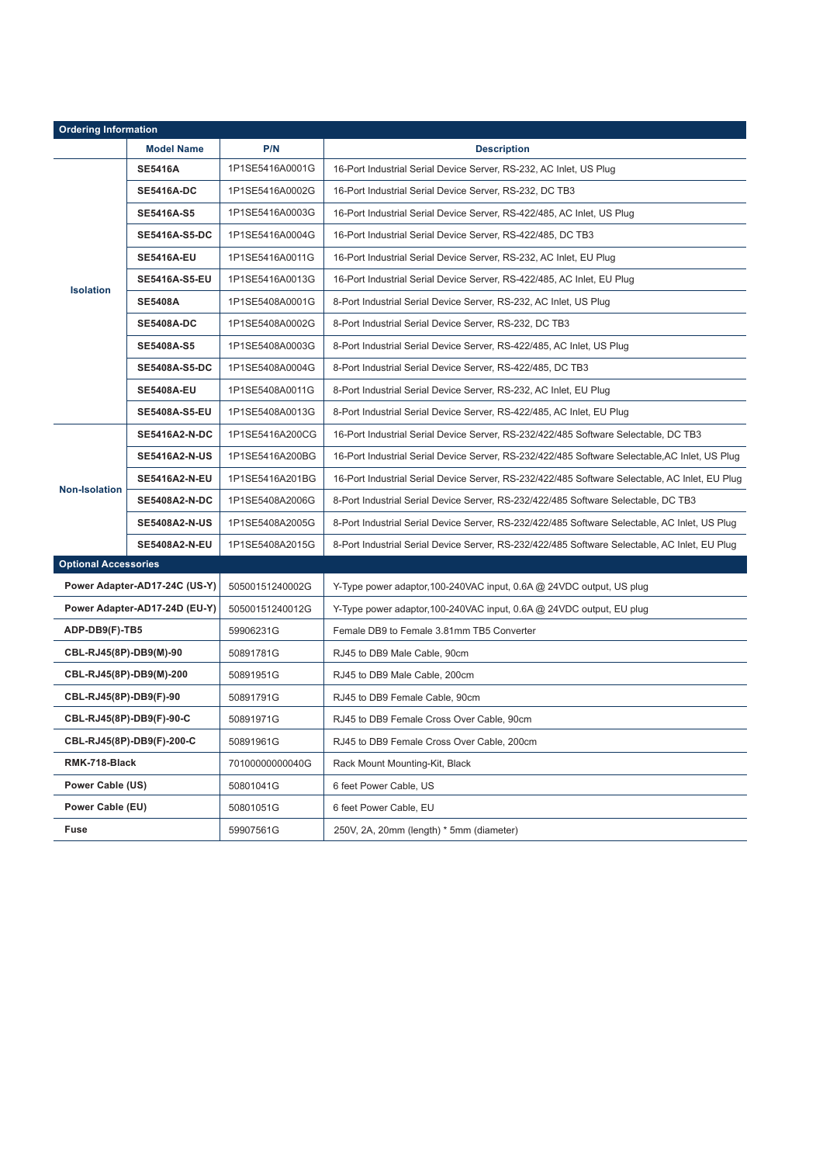| <b>Ordering Information</b>   |                      |                 |                                                                                                |  |  |  |  |  |
|-------------------------------|----------------------|-----------------|------------------------------------------------------------------------------------------------|--|--|--|--|--|
|                               | <b>Model Name</b>    | P/N             | <b>Description</b>                                                                             |  |  |  |  |  |
| <b>Isolation</b>              | <b>SE5416A</b>       | 1P1SE5416A0001G | 16-Port Industrial Serial Device Server, RS-232, AC Inlet, US Plug                             |  |  |  |  |  |
|                               | <b>SE5416A-DC</b>    | 1P1SE5416A0002G | 16-Port Industrial Serial Device Server, RS-232, DC TB3                                        |  |  |  |  |  |
|                               | <b>SE5416A-S5</b>    | 1P1SE5416A0003G | 16-Port Industrial Serial Device Server, RS-422/485, AC Inlet, US Plug                         |  |  |  |  |  |
|                               | <b>SE5416A-S5-DC</b> | 1P1SE5416A0004G | 16-Port Industrial Serial Device Server, RS-422/485, DC TB3                                    |  |  |  |  |  |
|                               | <b>SE5416A-EU</b>    | 1P1SE5416A0011G | 16-Port Industrial Serial Device Server, RS-232, AC Inlet, EU Plug                             |  |  |  |  |  |
|                               | <b>SE5416A-S5-EU</b> | 1P1SE5416A0013G | 16-Port Industrial Serial Device Server, RS-422/485, AC Inlet, EU Plug                         |  |  |  |  |  |
|                               | <b>SE5408A</b>       | 1P1SE5408A0001G | 8-Port Industrial Serial Device Server, RS-232, AC Inlet, US Plug                              |  |  |  |  |  |
|                               | <b>SE5408A-DC</b>    | 1P1SE5408A0002G | 8-Port Industrial Serial Device Server, RS-232, DC TB3                                         |  |  |  |  |  |
|                               | <b>SE5408A-S5</b>    | 1P1SE5408A0003G | 8-Port Industrial Serial Device Server, RS-422/485, AC Inlet, US Plug                          |  |  |  |  |  |
|                               | <b>SE5408A-S5-DC</b> | 1P1SE5408A0004G | 8-Port Industrial Serial Device Server, RS-422/485, DC TB3                                     |  |  |  |  |  |
|                               | <b>SE5408A-EU</b>    | 1P1SE5408A0011G | 8-Port Industrial Serial Device Server, RS-232, AC Inlet, EU Plug                              |  |  |  |  |  |
|                               | <b>SE5408A-S5-EU</b> | 1P1SE5408A0013G | 8-Port Industrial Serial Device Server, RS-422/485, AC Inlet, EU Plug                          |  |  |  |  |  |
| <b>Non-Isolation</b>          | <b>SE5416A2-N-DC</b> | 1P1SE5416A200CG | 16-Port Industrial Serial Device Server, RS-232/422/485 Software Selectable, DC TB3            |  |  |  |  |  |
|                               | <b>SE5416A2-N-US</b> | 1P1SE5416A200BG | 16-Port Industrial Serial Device Server, RS-232/422/485 Software Selectable, AC Inlet, US Plug |  |  |  |  |  |
|                               | <b>SE5416A2-N-EU</b> | 1P1SE5416A201BG | 16-Port Industrial Serial Device Server, RS-232/422/485 Software Selectable, AC Inlet, EU Plug |  |  |  |  |  |
|                               | <b>SE5408A2-N-DC</b> | 1P1SE5408A2006G | 8-Port Industrial Serial Device Server, RS-232/422/485 Software Selectable, DC TB3             |  |  |  |  |  |
|                               | <b>SE5408A2-N-US</b> | 1P1SE5408A2005G | 8-Port Industrial Serial Device Server, RS-232/422/485 Software Selectable, AC Inlet, US Plug  |  |  |  |  |  |
|                               | <b>SE5408A2-N-EU</b> | 1P1SE5408A2015G | 8-Port Industrial Serial Device Server, RS-232/422/485 Software Selectable, AC Inlet, EU Plug  |  |  |  |  |  |
| <b>Optional Accessories</b>   |                      |                 |                                                                                                |  |  |  |  |  |
| Power Adapter-AD17-24C (US-Y) |                      | 50500151240002G | Y-Type power adaptor, 100-240VAC input, 0.6A @ 24VDC output, US plug                           |  |  |  |  |  |
| Power Adapter-AD17-24D (EU-Y) |                      | 50500151240012G | Y-Type power adaptor, 100-240VAC input, 0.6A @ 24VDC output, EU plug                           |  |  |  |  |  |
| ADP-DB9(F)-TB5                |                      | 59906231G       | Female DB9 to Female 3.81mm TB5 Converter                                                      |  |  |  |  |  |
| CBL-RJ45(8P)-DB9(M)-90        |                      | 50891781G       | RJ45 to DB9 Male Cable, 90cm                                                                   |  |  |  |  |  |
| CBL-RJ45(8P)-DB9(M)-200       |                      | 50891951G       | RJ45 to DB9 Male Cable, 200cm                                                                  |  |  |  |  |  |
| CBL-RJ45(8P)-DB9(F)-90        |                      | 50891791G       | RJ45 to DB9 Female Cable, 90cm                                                                 |  |  |  |  |  |
| CBL-RJ45(8P)-DB9(F)-90-C      |                      | 50891971G       | RJ45 to DB9 Female Cross Over Cable, 90cm                                                      |  |  |  |  |  |
| CBL-RJ45(8P)-DB9(F)-200-C     |                      | 50891961G       | RJ45 to DB9 Female Cross Over Cable, 200cm                                                     |  |  |  |  |  |
| RMK-718-Black                 |                      | 70100000000040G | Rack Mount Mounting-Kit, Black                                                                 |  |  |  |  |  |
| Power Cable (US)              |                      | 50801041G       | 6 feet Power Cable, US                                                                         |  |  |  |  |  |
| Power Cable (EU)              |                      | 50801051G       | 6 feet Power Cable, EU                                                                         |  |  |  |  |  |
| <b>Fuse</b>                   |                      | 59907561G       | 250V, 2A, 20mm (length) * 5mm (diameter)                                                       |  |  |  |  |  |